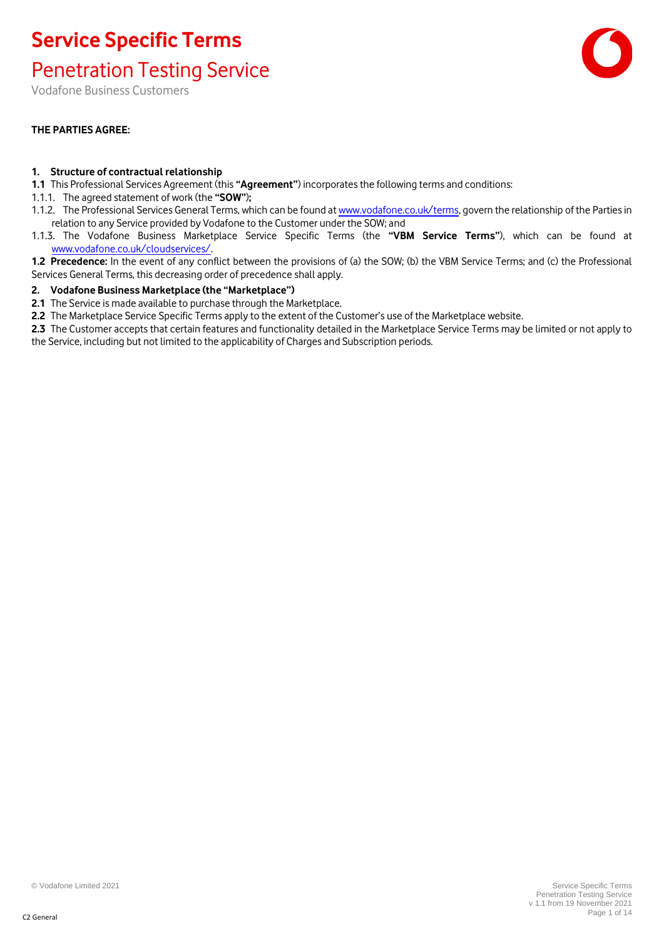#### Penetration Testing Service

Vodafone Business Customers

#### **THE PARTIES AGREE:**

#### **1. Structure of contractual relationship**

- **1.1** This Professional Services Agreement (this **"Agreement"**) incorporates the following terms and conditions:
- 1.1.1. The agreed statement of work (the **"SOW"**)**;**
- 1.1.2. The Professional Services General Terms, which can be found at [www.vodafone.co.uk/terms,](http://www.vodafone.co.uk/terms) govern the relationship of the Parties in relation to any Service provided by Vodafone to the Customer under the SOW; and
- 1.1.3. The Vodafone Business Marketplace Service Specific Terms (the **"VBM Service Terms"**), which can be found at [www.vodafone.co.uk/cloudservices/.](http://www.vodafone.co.uk/cloudservices/)
- **1.2 Precedence:** In the event of any conflict between the provisions of (a) the SOW; (b) the VBM Service Terms; and (c) the Professional Services General Terms, this decreasing order of precedence shall apply.

#### **2. Vodafone Business Marketplace (the "Marketplace")**

- **2.1** The Service is made available to purchase through the Marketplace.
- **2.2** The Marketplace Service Specific Terms apply to the extent of the Customer's use of the Marketplace website.
- **2.3** The Customer accepts that certain features and functionality detailed in the Marketplace Service Terms may be limited or not apply to the Service, including but not limited to the applicability of Charges and Subscription periods.

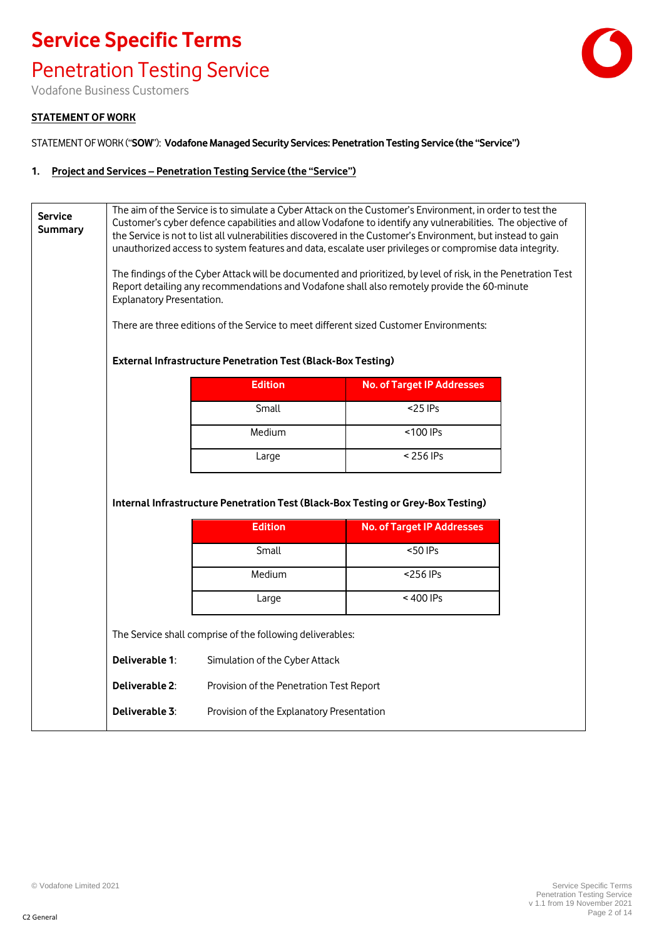Penetration Testing Service

Vodafone Business Customers

#### **STATEMENT OF WORK**

STATEMENT OF WORK ("**SOW**"): **Vodafone Managed Security Services: Penetration Testing Service (the "Service")**

#### **1. Project and Services – Penetration Testing Service (the "Service")**

| <b>Service</b><br><b>Summary</b> | <b>External Infrastructure Penetration Test (Black-Box Testing)</b> | The aim of the Service is to simulate a Cyber Attack on the Customer's Environment, in order to test the<br>Customer's cyber defence capabilities and allow Vodafone to identify any vulnerabilities. The objective of<br>the Service is not to list all vulnerabilities discovered in the Customer's Environment, but instead to gain<br>unauthorized access to system features and data, escalate user privileges or compromise data integrity.<br>The findings of the Cyber Attack will be documented and prioritized, by level of risk, in the Penetration Test<br>Report detailing any recommendations and Vodafone shall also remotely provide the 60-minute<br>Explanatory Presentation.<br>There are three editions of the Service to meet different sized Customer Environments: |                                   |  |
|----------------------------------|---------------------------------------------------------------------|-------------------------------------------------------------------------------------------------------------------------------------------------------------------------------------------------------------------------------------------------------------------------------------------------------------------------------------------------------------------------------------------------------------------------------------------------------------------------------------------------------------------------------------------------------------------------------------------------------------------------------------------------------------------------------------------------------------------------------------------------------------------------------------------|-----------------------------------|--|
|                                  |                                                                     |                                                                                                                                                                                                                                                                                                                                                                                                                                                                                                                                                                                                                                                                                                                                                                                           |                                   |  |
|                                  |                                                                     | <b>Edition</b>                                                                                                                                                                                                                                                                                                                                                                                                                                                                                                                                                                                                                                                                                                                                                                            | <b>No. of Target IP Addresses</b> |  |
|                                  |                                                                     | Small                                                                                                                                                                                                                                                                                                                                                                                                                                                                                                                                                                                                                                                                                                                                                                                     | $<$ 25 IPs                        |  |
|                                  |                                                                     | Medium                                                                                                                                                                                                                                                                                                                                                                                                                                                                                                                                                                                                                                                                                                                                                                                    | <100 IPs                          |  |
|                                  |                                                                     | Large                                                                                                                                                                                                                                                                                                                                                                                                                                                                                                                                                                                                                                                                                                                                                                                     | $< 256$ IPs                       |  |
|                                  |                                                                     | Internal Infrastructure Penetration Test (Black-Box Testing or Grey-Box Testing)<br><b>Edition</b>                                                                                                                                                                                                                                                                                                                                                                                                                                                                                                                                                                                                                                                                                        |                                   |  |
|                                  |                                                                     |                                                                                                                                                                                                                                                                                                                                                                                                                                                                                                                                                                                                                                                                                                                                                                                           | <b>No. of Target IP Addresses</b> |  |
|                                  |                                                                     | Small                                                                                                                                                                                                                                                                                                                                                                                                                                                                                                                                                                                                                                                                                                                                                                                     | <50 IPs                           |  |
|                                  |                                                                     | Medium                                                                                                                                                                                                                                                                                                                                                                                                                                                                                                                                                                                                                                                                                                                                                                                    | <256 IPs                          |  |
|                                  |                                                                     | Large                                                                                                                                                                                                                                                                                                                                                                                                                                                                                                                                                                                                                                                                                                                                                                                     | <400 IPs                          |  |
|                                  | The Service shall comprise of the following deliverables:           |                                                                                                                                                                                                                                                                                                                                                                                                                                                                                                                                                                                                                                                                                                                                                                                           |                                   |  |
|                                  | Deliverable 1:                                                      | Simulation of the Cyber Attack                                                                                                                                                                                                                                                                                                                                                                                                                                                                                                                                                                                                                                                                                                                                                            |                                   |  |
|                                  | Deliverable 2:                                                      | Provision of the Penetration Test Report                                                                                                                                                                                                                                                                                                                                                                                                                                                                                                                                                                                                                                                                                                                                                  |                                   |  |
|                                  | Deliverable 3:                                                      | Provision of the Explanatory Presentation                                                                                                                                                                                                                                                                                                                                                                                                                                                                                                                                                                                                                                                                                                                                                 |                                   |  |

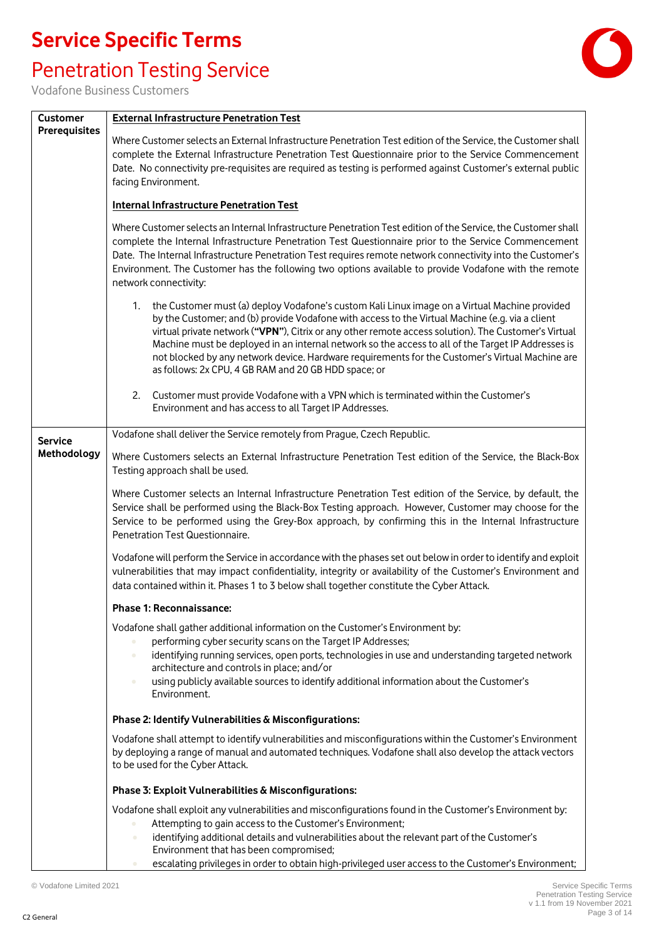### Penetration Testing Service



| <b>Customer</b>      | <b>External Infrastructure Penetration Test</b>                                                                                                                                                                                                                                                                                                                                                                                                                                                                                                                                 |  |  |
|----------------------|---------------------------------------------------------------------------------------------------------------------------------------------------------------------------------------------------------------------------------------------------------------------------------------------------------------------------------------------------------------------------------------------------------------------------------------------------------------------------------------------------------------------------------------------------------------------------------|--|--|
| <b>Prerequisites</b> | Where Customer selects an External Infrastructure Penetration Test edition of the Service, the Customer shall<br>complete the External Infrastructure Penetration Test Questionnaire prior to the Service Commencement<br>Date. No connectivity pre-requisites are required as testing is performed against Customer's external public<br>facing Environment.                                                                                                                                                                                                                   |  |  |
|                      | <b>Internal Infrastructure Penetration Test</b>                                                                                                                                                                                                                                                                                                                                                                                                                                                                                                                                 |  |  |
|                      | Where Customer selects an Internal Infrastructure Penetration Test edition of the Service, the Customer shall<br>complete the Internal Infrastructure Penetration Test Questionnaire prior to the Service Commencement<br>Date. The Internal Infrastructure Penetration Test requires remote network connectivity into the Customer's<br>Environment. The Customer has the following two options available to provide Vodafone with the remote<br>network connectivity:                                                                                                         |  |  |
|                      | the Customer must (a) deploy Vodafone's custom Kali Linux image on a Virtual Machine provided<br>1.<br>by the Customer; and (b) provide Vodafone with access to the Virtual Machine (e.g. via a client<br>virtual private network ("VPN"), Citrix or any other remote access solution). The Customer's Virtual<br>Machine must be deployed in an internal network so the access to all of the Target IP Addresses is<br>not blocked by any network device. Hardware requirements for the Customer's Virtual Machine are<br>as follows: 2x CPU, 4 GB RAM and 20 GB HDD space; or |  |  |
|                      | Customer must provide Vodafone with a VPN which is terminated within the Customer's<br>2.<br>Environment and has access to all Target IP Addresses.                                                                                                                                                                                                                                                                                                                                                                                                                             |  |  |
| <b>Service</b>       | Vodafone shall deliver the Service remotely from Prague, Czech Republic.                                                                                                                                                                                                                                                                                                                                                                                                                                                                                                        |  |  |
| Methodology          | Where Customers selects an External Infrastructure Penetration Test edition of the Service, the Black-Box                                                                                                                                                                                                                                                                                                                                                                                                                                                                       |  |  |
|                      | Testing approach shall be used.                                                                                                                                                                                                                                                                                                                                                                                                                                                                                                                                                 |  |  |
|                      | Where Customer selects an Internal Infrastructure Penetration Test edition of the Service, by default, the<br>Service shall be performed using the Black-Box Testing approach. However, Customer may choose for the<br>Service to be performed using the Grey-Box approach, by confirming this in the Internal Infrastructure<br>Penetration Test Questionnaire.                                                                                                                                                                                                                |  |  |
|                      | Vodafone will perform the Service in accordance with the phases set out below in order to identify and exploit<br>vulnerabilities that may impact confidentiality, integrity or availability of the Customer's Environment and<br>data contained within it. Phases 1 to 3 below shall together constitute the Cyber Attack.                                                                                                                                                                                                                                                     |  |  |
|                      | <b>Phase 1: Reconnaissance:</b>                                                                                                                                                                                                                                                                                                                                                                                                                                                                                                                                                 |  |  |
|                      | Vodafone shall gather additional information on the Customer's Environment by:<br>performing cyber security scans on the Target IP Addresses;<br>identifying running services, open ports, technologies in use and understanding targeted network<br>architecture and controls in place; and/or<br>using publicly available sources to identify additional information about the Customer's<br>Environment.                                                                                                                                                                     |  |  |
|                      | Phase 2: Identify Vulnerabilities & Misconfigurations:                                                                                                                                                                                                                                                                                                                                                                                                                                                                                                                          |  |  |
|                      | Vodafone shall attempt to identify vulnerabilities and misconfigurations within the Customer's Environment<br>by deploying a range of manual and automated techniques. Vodafone shall also develop the attack vectors<br>to be used for the Cyber Attack.                                                                                                                                                                                                                                                                                                                       |  |  |
|                      | Phase 3: Exploit Vulnerabilities & Misconfigurations:                                                                                                                                                                                                                                                                                                                                                                                                                                                                                                                           |  |  |
|                      | Vodafone shall exploit any vulnerabilities and misconfigurations found in the Customer's Environment by:                                                                                                                                                                                                                                                                                                                                                                                                                                                                        |  |  |
|                      | Attempting to gain access to the Customer's Environment;<br>identifying additional details and vulnerabilities about the relevant part of the Customer's<br>Environment that has been compromised;                                                                                                                                                                                                                                                                                                                                                                              |  |  |
|                      | escalating privileges in order to obtain high-privileged user access to the Customer's Environment;                                                                                                                                                                                                                                                                                                                                                                                                                                                                             |  |  |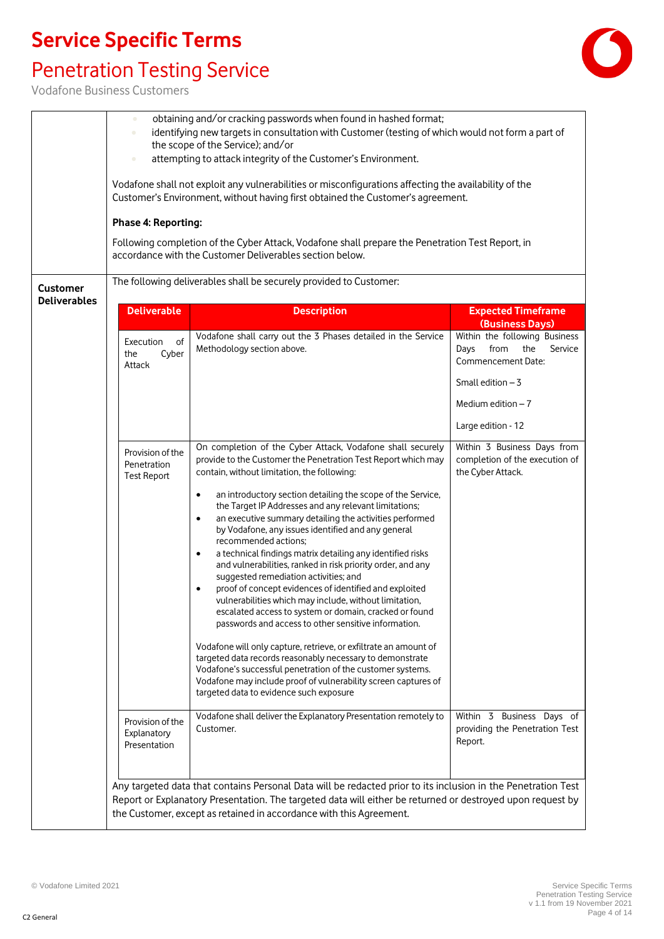## Penetration Testing Service



| <b>Customer</b>     | $\bullet$<br><b>Phase 4: Reporting:</b>               | obtaining and/or cracking passwords when found in hashed format;<br>identifying new targets in consultation with Customer (testing of which would not form a part of<br>the scope of the Service); and/or<br>attempting to attack integrity of the Customer's Environment.<br>Vodafone shall not exploit any vulnerabilities or misconfigurations affecting the availability of the<br>Customer's Environment, without having first obtained the Customer's agreement.<br>Following completion of the Cyber Attack, Vodafone shall prepare the Penetration Test Report, in<br>accordance with the Customer Deliverables section below.<br>The following deliverables shall be securely provided to Customer:                                                                                                                                                                                                                                                                                                                                                                                                                                                                                                    |                                                                                                                                    |
|---------------------|-------------------------------------------------------|-----------------------------------------------------------------------------------------------------------------------------------------------------------------------------------------------------------------------------------------------------------------------------------------------------------------------------------------------------------------------------------------------------------------------------------------------------------------------------------------------------------------------------------------------------------------------------------------------------------------------------------------------------------------------------------------------------------------------------------------------------------------------------------------------------------------------------------------------------------------------------------------------------------------------------------------------------------------------------------------------------------------------------------------------------------------------------------------------------------------------------------------------------------------------------------------------------------------|------------------------------------------------------------------------------------------------------------------------------------|
| <b>Deliverables</b> | <b>Deliverable</b>                                    | <b>Description</b>                                                                                                                                                                                                                                                                                                                                                                                                                                                                                                                                                                                                                                                                                                                                                                                                                                                                                                                                                                                                                                                                                                                                                                                              | <b>Expected Timeframe</b><br>(Business Days)                                                                                       |
|                     | of<br>Execution<br>Cyber<br>the<br>Attack             | Vodafone shall carry out the 3 Phases detailed in the Service<br>Methodology section above.                                                                                                                                                                                                                                                                                                                                                                                                                                                                                                                                                                                                                                                                                                                                                                                                                                                                                                                                                                                                                                                                                                                     | Within the following Business<br>from<br>the<br>Service<br>Days<br>Commencement Date:<br>Small edition $-3$<br>Medium edition $-7$ |
|                     | Provision of the<br>Penetration<br><b>Test Report</b> | On completion of the Cyber Attack, Vodafone shall securely<br>provide to the Customer the Penetration Test Report which may<br>contain, without limitation, the following:<br>an introductory section detailing the scope of the Service,<br>$\bullet$<br>the Target IP Addresses and any relevant limitations;<br>an executive summary detailing the activities performed<br>٠<br>by Vodafone, any issues identified and any general<br>recommended actions;<br>a technical findings matrix detailing any identified risks<br>$\bullet$<br>and vulnerabilities, ranked in risk priority order, and any<br>suggested remediation activities; and<br>proof of concept evidences of identified and exploited<br>$\bullet$<br>vulnerabilities which may include, without limitation,<br>escalated access to system or domain, cracked or found<br>passwords and access to other sensitive information.<br>Vodafone will only capture, retrieve, or exfiltrate an amount of<br>targeted data records reasonably necessary to demonstrate<br>Vodafone's successful penetration of the customer systems.<br>Vodafone may include proof of vulnerability screen captures of<br>targeted data to evidence such exposure | Large edition - 12<br>Within 3 Business Days from<br>completion of the execution of<br>the Cyber Attack.                           |
|                     | Provision of the<br>Explanatory<br>Presentation       | Vodafone shall deliver the Explanatory Presentation remotely to<br>Customer.                                                                                                                                                                                                                                                                                                                                                                                                                                                                                                                                                                                                                                                                                                                                                                                                                                                                                                                                                                                                                                                                                                                                    | Within 3 Business Days of<br>providing the Penetration Test<br>Report.                                                             |
|                     |                                                       | Any targeted data that contains Personal Data will be redacted prior to its inclusion in the Penetration Test<br>Report or Explanatory Presentation. The targeted data will either be returned or destroyed upon request by<br>the Customer, except as retained in accordance with this Agreement.                                                                                                                                                                                                                                                                                                                                                                                                                                                                                                                                                                                                                                                                                                                                                                                                                                                                                                              |                                                                                                                                    |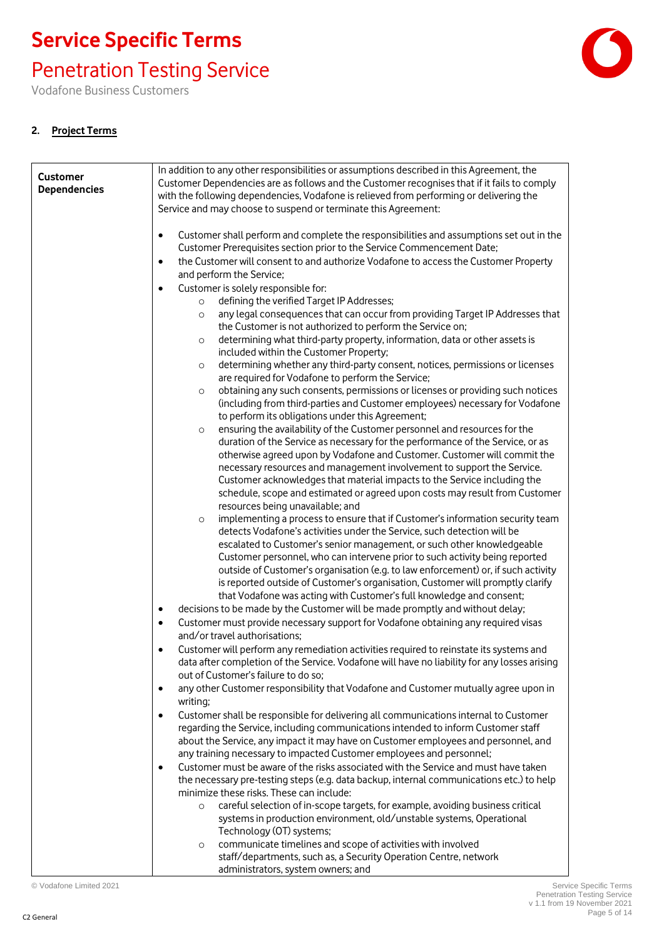### Penetration Testing Service

Vodafone Business Customers

#### **2. Project Terms**

| <b>Customer</b>     | In addition to any other responsibilities or assumptions described in this Agreement, the                                                                              |
|---------------------|------------------------------------------------------------------------------------------------------------------------------------------------------------------------|
| <b>Dependencies</b> | Customer Dependencies are as follows and the Customer recognises that if it fails to comply                                                                            |
|                     | with the following dependencies, Vodafone is relieved from performing or delivering the                                                                                |
|                     | Service and may choose to suspend or terminate this Agreement:                                                                                                         |
|                     | Customer shall perform and complete the responsibilities and assumptions set out in the<br>$\bullet$                                                                   |
|                     | Customer Prerequisites section prior to the Service Commencement Date;                                                                                                 |
|                     | the Customer will consent to and authorize Vodafone to access the Customer Property<br>$\bullet$<br>and perform the Service;                                           |
|                     | Customer is solely responsible for:<br>$\bullet$                                                                                                                       |
|                     | defining the verified Target IP Addresses;<br>$\circ$                                                                                                                  |
|                     | any legal consequences that can occur from providing Target IP Addresses that<br>$\circ$<br>the Customer is not authorized to perform the Service on;                  |
|                     | determining what third-party property, information, data or other assets is<br>$\circ$                                                                                 |
|                     | included within the Customer Property;                                                                                                                                 |
|                     | determining whether any third-party consent, notices, permissions or licenses<br>$\circ$                                                                               |
|                     | are required for Vodafone to perform the Service;                                                                                                                      |
|                     | obtaining any such consents, permissions or licenses or providing such notices<br>$\circ$                                                                              |
|                     | (including from third-parties and Customer employees) necessary for Vodafone                                                                                           |
|                     | to perform its obligations under this Agreement;                                                                                                                       |
|                     | ensuring the availability of the Customer personnel and resources for the<br>$\circ$<br>duration of the Service as necessary for the performance of the Service, or as |
|                     | otherwise agreed upon by Vodafone and Customer. Customer will commit the                                                                                               |
|                     | necessary resources and management involvement to support the Service.                                                                                                 |
|                     | Customer acknowledges that material impacts to the Service including the                                                                                               |
|                     | schedule, scope and estimated or agreed upon costs may result from Customer                                                                                            |
|                     | resources being unavailable; and                                                                                                                                       |
|                     | implementing a process to ensure that if Customer's information security team<br>$\circ$                                                                               |
|                     | detects Vodafone's activities under the Service, such detection will be<br>escalated to Customer's senior management, or such other knowledgeable                      |
|                     | Customer personnel, who can intervene prior to such activity being reported                                                                                            |
|                     | outside of Customer's organisation (e.g. to law enforcement) or, if such activity                                                                                      |
|                     | is reported outside of Customer's organisation, Customer will promptly clarify                                                                                         |
|                     | that Vodafone was acting with Customer's full knowledge and consent;                                                                                                   |
|                     | decisions to be made by the Customer will be made promptly and without delay;<br>$\bullet$                                                                             |
|                     | Customer must provide necessary support for Vodafone obtaining any required visas<br>$\bullet$<br>and/or travel authorisations;                                        |
|                     | Customer will perform any remediation activities required to reinstate its systems and                                                                                 |
|                     | data after completion of the Service. Vodafone will have no liability for any losses arising<br>out of Customer's failure to do so;                                    |
|                     | any other Customer responsibility that Vodafone and Customer mutually agree upon in<br>$\bullet$<br>writing;                                                           |
|                     | Customer shall be responsible for delivering all communications internal to Customer<br>$\bullet$                                                                      |
|                     | regarding the Service, including communications intended to inform Customer staff                                                                                      |
|                     | about the Service, any impact it may have on Customer employees and personnel, and                                                                                     |
|                     | any training necessary to impacted Customer employees and personnel;                                                                                                   |
|                     | Customer must be aware of the risks associated with the Service and must have taken<br>$\bullet$                                                                       |
|                     | the necessary pre-testing steps (e.g. data backup, internal communications etc.) to help<br>minimize these risks. These can include:                                   |
|                     | careful selection of in-scope targets, for example, avoiding business critical<br>$\circ$                                                                              |
|                     | systems in production environment, old/unstable systems, Operational                                                                                                   |
|                     | Technology (OT) systems;                                                                                                                                               |
|                     | communicate timelines and scope of activities with involved<br>$\circ$                                                                                                 |
|                     | staff/departments, such as, a Security Operation Centre, network<br>administrators, system owners; and                                                                 |
|                     |                                                                                                                                                                        |

© Vodafone Limited 2021 Service Specific Terms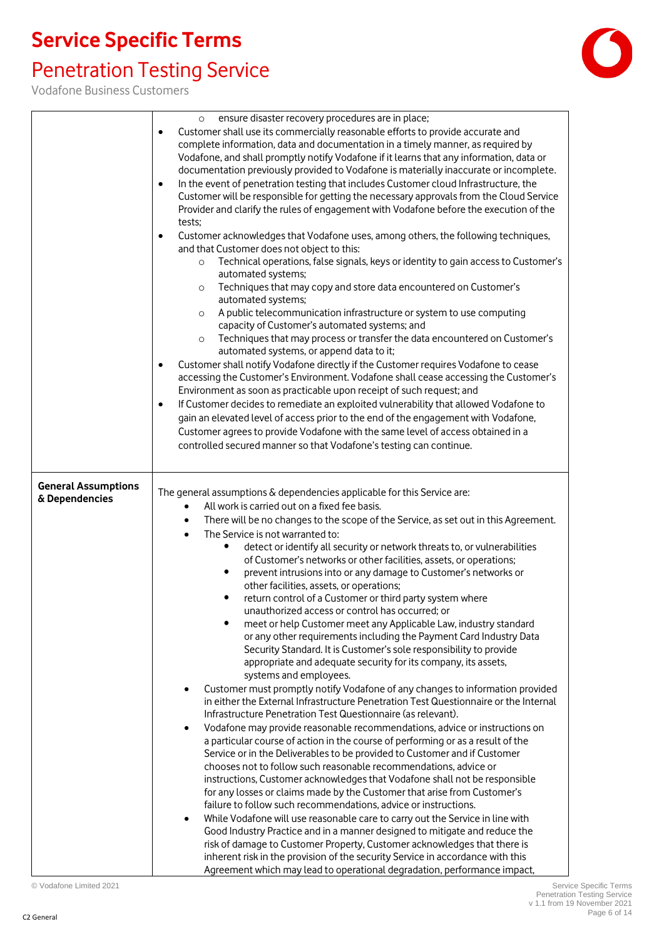### Penetration Testing Service



|                                              | ensure disaster recovery procedures are in place;<br>$\circ$<br>Customer shall use its commercially reasonable efforts to provide accurate and<br>$\bullet$<br>complete information, data and documentation in a timely manner, as required by<br>Vodafone, and shall promptly notify Vodafone if it learns that any information, data or<br>documentation previously provided to Vodafone is materially inaccurate or incomplete.<br>In the event of penetration testing that includes Customer cloud Infrastructure, the<br>$\bullet$<br>Customer will be responsible for getting the necessary approvals from the Cloud Service<br>Provider and clarify the rules of engagement with Vodafone before the execution of the<br>tests;<br>Customer acknowledges that Vodafone uses, among others, the following techniques,<br>$\bullet$<br>and that Customer does not object to this:<br>Technical operations, false signals, keys or identity to gain access to Customer's<br>$\circ$<br>automated systems;<br>Techniques that may copy and store data encountered on Customer's<br>$\circ$<br>automated systems;<br>A public telecommunication infrastructure or system to use computing<br>$\circ$<br>capacity of Customer's automated systems; and<br>Techniques that may process or transfer the data encountered on Customer's<br>$\circ$<br>automated systems, or append data to it;<br>Customer shall notify Vodafone directly if the Customer requires Vodafone to cease<br>$\bullet$<br>accessing the Customer's Environment. Vodafone shall cease accessing the Customer's<br>Environment as soon as practicable upon receipt of such request; and<br>If Customer decides to remediate an exploited vulnerability that allowed Vodafone to<br>$\bullet$<br>gain an elevated level of access prior to the end of the engagement with Vodafone,<br>Customer agrees to provide Vodafone with the same level of access obtained in a<br>controlled secured manner so that Vodafone's testing can continue.                                                                                                                                                            |
|----------------------------------------------|-------------------------------------------------------------------------------------------------------------------------------------------------------------------------------------------------------------------------------------------------------------------------------------------------------------------------------------------------------------------------------------------------------------------------------------------------------------------------------------------------------------------------------------------------------------------------------------------------------------------------------------------------------------------------------------------------------------------------------------------------------------------------------------------------------------------------------------------------------------------------------------------------------------------------------------------------------------------------------------------------------------------------------------------------------------------------------------------------------------------------------------------------------------------------------------------------------------------------------------------------------------------------------------------------------------------------------------------------------------------------------------------------------------------------------------------------------------------------------------------------------------------------------------------------------------------------------------------------------------------------------------------------------------------------------------------------------------------------------------------------------------------------------------------------------------------------------------------------------------------------------------------------------------------------------------------------------------------------------------------------------------------------------------------------------------------------------------------------------------------------------------------------------------------------------|
| <b>General Assumptions</b><br>& Dependencies | The general assumptions & dependencies applicable for this Service are:<br>All work is carried out on a fixed fee basis.<br>There will be no changes to the scope of the Service, as set out in this Agreement.<br>٠<br>The Service is not warranted to:<br>$\bullet$<br>detect or identify all security or network threats to, or vulnerabilities<br>of Customer's networks or other facilities, assets, or operations;<br>prevent intrusions into or any damage to Customer's networks or<br>٠<br>other facilities, assets, or operations;<br>return control of a Customer or third party system where<br>unauthorized access or control has occurred; or<br>meet or help Customer meet any Applicable Law, industry standard<br>or any other requirements including the Payment Card Industry Data<br>Security Standard. It is Customer's sole responsibility to provide<br>appropriate and adequate security for its company, its assets,<br>systems and employees.<br>Customer must promptly notify Vodafone of any changes to information provided<br>in either the External Infrastructure Penetration Test Questionnaire or the Internal<br>Infrastructure Penetration Test Questionnaire (as relevant).<br>Vodafone may provide reasonable recommendations, advice or instructions on<br>٠<br>a particular course of action in the course of performing or as a result of the<br>Service or in the Deliverables to be provided to Customer and if Customer<br>chooses not to follow such reasonable recommendations, advice or<br>instructions, Customer acknowledges that Vodafone shall not be responsible<br>for any losses or claims made by the Customer that arise from Customer's<br>failure to follow such recommendations, advice or instructions.<br>While Vodafone will use reasonable care to carry out the Service in line with<br>Good Industry Practice and in a manner designed to mitigate and reduce the<br>risk of damage to Customer Property, Customer acknowledges that there is<br>inherent risk in the provision of the security Service in accordance with this<br>Agreement which may lead to operational degradation, performance impact, |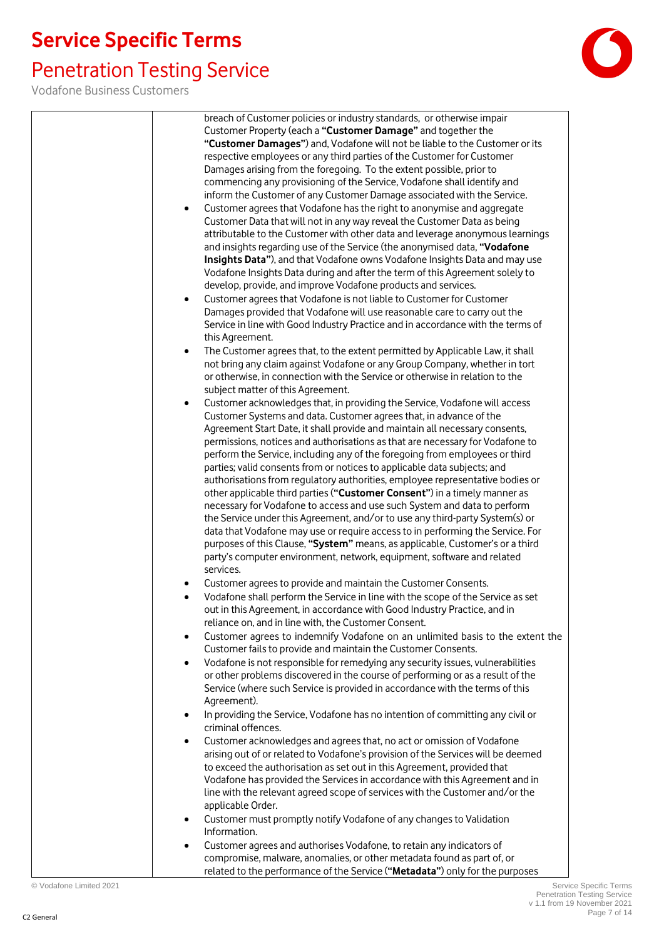# Penetration Testing Service

| breach of Customer policies or industry standards, or otherwise impair                                                                                                   |
|--------------------------------------------------------------------------------------------------------------------------------------------------------------------------|
| Customer Property (each a "Customer Damage" and together the                                                                                                             |
| "Customer Damages") and, Vodafone will not be liable to the Customer or its                                                                                              |
| respective employees or any third parties of the Customer for Customer                                                                                                   |
| Damages arising from the foregoing. To the extent possible, prior to                                                                                                     |
| commencing any provisioning of the Service, Vodafone shall identify and                                                                                                  |
| inform the Customer of any Customer Damage associated with the Service.                                                                                                  |
| Customer agrees that Vodafone has the right to anonymise and aggregate<br>$\bullet$                                                                                      |
| Customer Data that will not in any way reveal the Customer Data as being                                                                                                 |
| attributable to the Customer with other data and leverage anonymous learnings                                                                                            |
| and insights regarding use of the Service (the anonymised data, "Vodafone                                                                                                |
| Insights Data"), and that Vodafone owns Vodafone Insights Data and may use                                                                                               |
| Vodafone Insights Data during and after the term of this Agreement solely to                                                                                             |
| develop, provide, and improve Vodafone products and services.                                                                                                            |
| Customer agrees that Vodafone is not liable to Customer for Customer<br>$\bullet$                                                                                        |
| Damages provided that Vodafone will use reasonable care to carry out the                                                                                                 |
| Service in line with Good Industry Practice and in accordance with the terms of                                                                                          |
| this Agreement.                                                                                                                                                          |
| The Customer agrees that, to the extent permitted by Applicable Law, it shall<br>$\bullet$                                                                               |
| not bring any claim against Vodafone or any Group Company, whether in tort                                                                                               |
| or otherwise, in connection with the Service or otherwise in relation to the<br>subject matter of this Agreement.                                                        |
| Customer acknowledges that, in providing the Service, Vodafone will access<br>$\bullet$                                                                                  |
| Customer Systems and data. Customer agrees that, in advance of the                                                                                                       |
| Agreement Start Date, it shall provide and maintain all necessary consents,                                                                                              |
| permissions, notices and authorisations as that are necessary for Vodafone to                                                                                            |
| perform the Service, including any of the foregoing from employees or third                                                                                              |
| parties; valid consents from or notices to applicable data subjects; and                                                                                                 |
| authorisations from regulatory authorities, employee representative bodies or                                                                                            |
| other applicable third parties ("Customer Consent") in a timely manner as                                                                                                |
| necessary for Vodafone to access and use such System and data to perform                                                                                                 |
| the Service under this Agreement, and/or to use any third-party System(s) or                                                                                             |
| data that Vodafone may use or require access to in performing the Service. For                                                                                           |
| purposes of this Clause, "System" means, as applicable, Customer's or a third                                                                                            |
| party's computer environment, network, equipment, software and related                                                                                                   |
| services.                                                                                                                                                                |
| Customer agrees to provide and maintain the Customer Consents.<br>٠                                                                                                      |
| Vodafone shall perform the Service in line with the scope of the Service as set<br>$\bullet$<br>out in this Agreement, in accordance with Good Industry Practice, and in |
| reliance on, and in line with, the Customer Consent.                                                                                                                     |
| Customer agrees to indemnify Vodafone on an unlimited basis to the extent the<br>$\bullet$                                                                               |
| Customer fails to provide and maintain the Customer Consents.                                                                                                            |
| Vodafone is not responsible for remedying any security issues, vulnerabilities<br>$\bullet$                                                                              |
| or other problems discovered in the course of performing or as a result of the                                                                                           |
| Service (where such Service is provided in accordance with the terms of this                                                                                             |
| Agreement).                                                                                                                                                              |
| In providing the Service, Vodafone has no intention of committing any civil or<br>$\bullet$                                                                              |
| criminal offences.                                                                                                                                                       |
| Customer acknowledges and agrees that, no act or omission of Vodafone<br>$\bullet$                                                                                       |
| arising out of or related to Vodafone's provision of the Services will be deemed                                                                                         |
| to exceed the authorisation as set out in this Agreement, provided that                                                                                                  |
| Vodafone has provided the Services in accordance with this Agreement and in                                                                                              |
| line with the relevant agreed scope of services with the Customer and/or the                                                                                             |
| applicable Order.                                                                                                                                                        |
| Customer must promptly notify Vodafone of any changes to Validation<br>٠                                                                                                 |
| Information.                                                                                                                                                             |
| Customer agrees and authorises Vodafone, to retain any indicators of<br>٠                                                                                                |
| compromise, malware, anomalies, or other metadata found as part of, or<br>related to the performance of the Service ("Metadata") only for the purposes                   |
|                                                                                                                                                                          |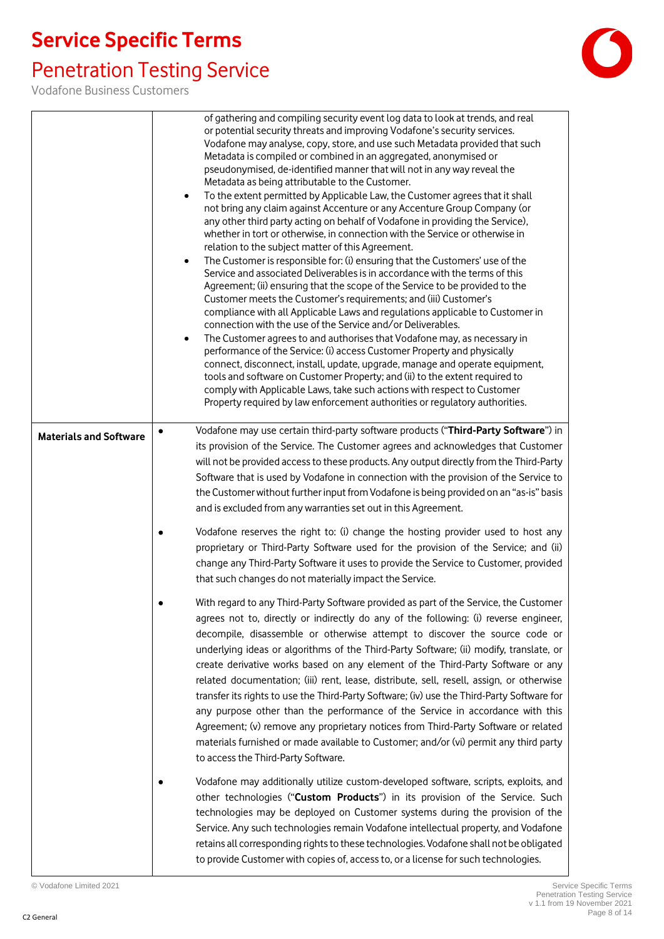# Penetration Testing Service



|                               | of gathering and compiling security event log data to look at trends, and real<br>or potential security threats and improving Vodafone's security services.<br>Vodafone may analyse, copy, store, and use such Metadata provided that such<br>Metadata is compiled or combined in an aggregated, anonymised or<br>pseudonymised, de-identified manner that will not in any way reveal the<br>Metadata as being attributable to the Customer.<br>To the extent permitted by Applicable Law, the Customer agrees that it shall<br>$\bullet$<br>not bring any claim against Accenture or any Accenture Group Company (or<br>any other third party acting on behalf of Vodafone in providing the Service),<br>whether in tort or otherwise, in connection with the Service or otherwise in<br>relation to the subject matter of this Agreement.<br>The Customer is responsible for: (i) ensuring that the Customers' use of the<br>$\bullet$<br>Service and associated Deliverables is in accordance with the terms of this<br>Agreement; (ii) ensuring that the scope of the Service to be provided to the<br>Customer meets the Customer's requirements; and (iii) Customer's<br>compliance with all Applicable Laws and regulations applicable to Customer in<br>connection with the use of the Service and/or Deliverables.<br>The Customer agrees to and authorises that Vodafone may, as necessary in<br>$\bullet$<br>performance of the Service: (i) access Customer Property and physically<br>connect, disconnect, install, update, upgrade, manage and operate equipment,<br>tools and software on Customer Property; and (ii) to the extent required to<br>comply with Applicable Laws, take such actions with respect to Customer<br>Property required by law enforcement authorities or regulatory authorities. |
|-------------------------------|--------------------------------------------------------------------------------------------------------------------------------------------------------------------------------------------------------------------------------------------------------------------------------------------------------------------------------------------------------------------------------------------------------------------------------------------------------------------------------------------------------------------------------------------------------------------------------------------------------------------------------------------------------------------------------------------------------------------------------------------------------------------------------------------------------------------------------------------------------------------------------------------------------------------------------------------------------------------------------------------------------------------------------------------------------------------------------------------------------------------------------------------------------------------------------------------------------------------------------------------------------------------------------------------------------------------------------------------------------------------------------------------------------------------------------------------------------------------------------------------------------------------------------------------------------------------------------------------------------------------------------------------------------------------------------------------------------------------------------------------------------------------------------------------------------------------------|
| <b>Materials and Software</b> | Vodafone may use certain third-party software products ("Third-Party Software") in<br>its provision of the Service. The Customer agrees and acknowledges that Customer<br>will not be provided access to these products. Any output directly from the Third-Party<br>Software that is used by Vodafone in connection with the provision of the Service to<br>the Customer without further input from Vodafone is being provided on an "as-is" basis<br>and is excluded from any warranties set out in this Agreement.                                                                                                                                                                                                                                                                                                                                                                                                                                                                                                                                                                                                                                                                                                                                                                                                                                                                                                                                                                                                                                                                                                                                                                                                                                                                                                    |
|                               | Vodafone reserves the right to: (i) change the hosting provider used to host any<br>proprietary or Third-Party Software used for the provision of the Service; and (ii)<br>change any Third-Party Software it uses to provide the Service to Customer, provided<br>that such changes do not materially impact the Service.                                                                                                                                                                                                                                                                                                                                                                                                                                                                                                                                                                                                                                                                                                                                                                                                                                                                                                                                                                                                                                                                                                                                                                                                                                                                                                                                                                                                                                                                                               |
|                               | With regard to any Third-Party Software provided as part of the Service, the Customer<br>agrees not to, directly or indirectly do any of the following: (i) reverse engineer,<br>decompile, disassemble or otherwise attempt to discover the source code or<br>underlying ideas or algorithms of the Third-Party Software; (ii) modify, translate, or<br>create derivative works based on any element of the Third-Party Software or any<br>related documentation; (iii) rent, lease, distribute, sell, resell, assign, or otherwise<br>transfer its rights to use the Third-Party Software; (iv) use the Third-Party Software for<br>any purpose other than the performance of the Service in accordance with this<br>Agreement; (v) remove any proprietary notices from Third-Party Software or related<br>materials furnished or made available to Customer; and/or (vi) permit any third party<br>to access the Third-Party Software.                                                                                                                                                                                                                                                                                                                                                                                                                                                                                                                                                                                                                                                                                                                                                                                                                                                                                |
|                               | Vodafone may additionally utilize custom-developed software, scripts, exploits, and<br>other technologies ("Custom Products") in its provision of the Service. Such<br>technologies may be deployed on Customer systems during the provision of the<br>Service. Any such technologies remain Vodafone intellectual property, and Vodafone<br>retains all corresponding rights to these technologies. Vodafone shall not be obligated<br>to provide Customer with copies of, access to, or a license for such technologies.                                                                                                                                                                                                                                                                                                                                                                                                                                                                                                                                                                                                                                                                                                                                                                                                                                                                                                                                                                                                                                                                                                                                                                                                                                                                                               |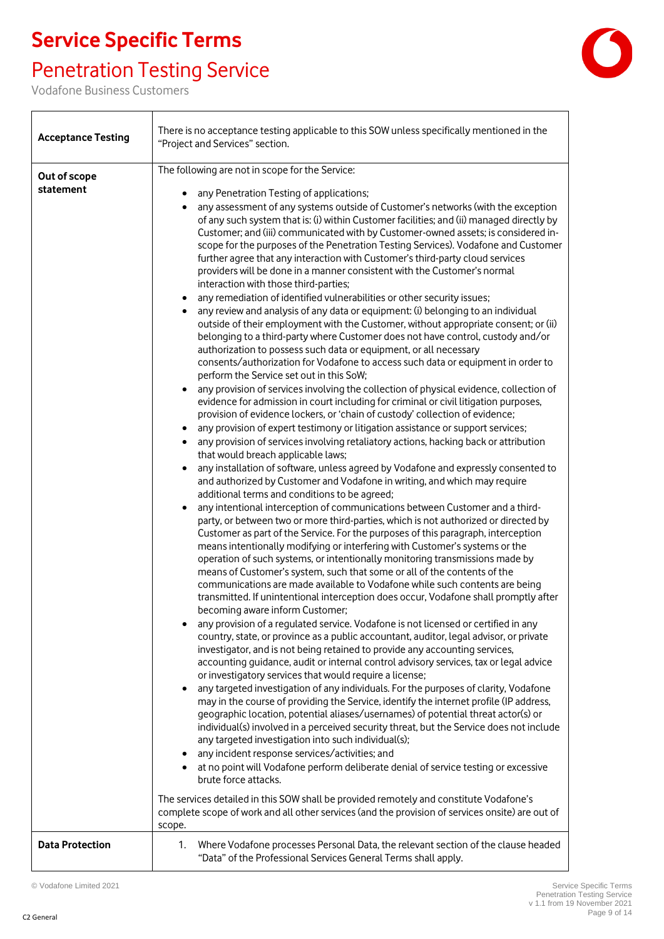## Penetration Testing Service

Vodafone Business Customers

 $\overline{\Gamma}$ 



| <b>Acceptance Testing</b> | There is no acceptance testing applicable to this SOW unless specifically mentioned in the<br>"Project and Services" section.                                                                                                                                                                                                                                                                                                                                                                                                                                                                                                                                                                                                                                                                                                                                                                                                                                                                                                                                                                                                                                                                                                                                                                                                                                                                                                                                                                                                                                                                                                                                                                                                                                                                                                                                                                                                                                                                                                                                                                                                                                                                                                                                                                                                                                                                                                                                                                                                                                                                                                                                                                                                                                                                                                                                                                                                                                                                                                                                                                                                                                                                                                                                                                                                                                                                                                                                                                                                                                                                                                                                                                                                                                                                                                                                                                    |
|---------------------------|--------------------------------------------------------------------------------------------------------------------------------------------------------------------------------------------------------------------------------------------------------------------------------------------------------------------------------------------------------------------------------------------------------------------------------------------------------------------------------------------------------------------------------------------------------------------------------------------------------------------------------------------------------------------------------------------------------------------------------------------------------------------------------------------------------------------------------------------------------------------------------------------------------------------------------------------------------------------------------------------------------------------------------------------------------------------------------------------------------------------------------------------------------------------------------------------------------------------------------------------------------------------------------------------------------------------------------------------------------------------------------------------------------------------------------------------------------------------------------------------------------------------------------------------------------------------------------------------------------------------------------------------------------------------------------------------------------------------------------------------------------------------------------------------------------------------------------------------------------------------------------------------------------------------------------------------------------------------------------------------------------------------------------------------------------------------------------------------------------------------------------------------------------------------------------------------------------------------------------------------------------------------------------------------------------------------------------------------------------------------------------------------------------------------------------------------------------------------------------------------------------------------------------------------------------------------------------------------------------------------------------------------------------------------------------------------------------------------------------------------------------------------------------------------------------------------------------------------------------------------------------------------------------------------------------------------------------------------------------------------------------------------------------------------------------------------------------------------------------------------------------------------------------------------------------------------------------------------------------------------------------------------------------------------------------------------------------------------------------------------------------------------------------------------------------------------------------------------------------------------------------------------------------------------------------------------------------------------------------------------------------------------------------------------------------------------------------------------------------------------------------------------------------------------------------------------------------------------------------------------------------------------------|
| Out of scope<br>statement | The following are not in scope for the Service:<br>any Penetration Testing of applications;<br>any assessment of any systems outside of Customer's networks (with the exception<br>of any such system that is: (i) within Customer facilities; and (ii) managed directly by<br>Customer; and (iii) communicated with by Customer-owned assets; is considered in-<br>scope for the purposes of the Penetration Testing Services). Vodafone and Customer<br>further agree that any interaction with Customer's third-party cloud services<br>providers will be done in a manner consistent with the Customer's normal<br>interaction with those third-parties;<br>any remediation of identified vulnerabilities or other security issues;<br>any review and analysis of any data or equipment: (i) belonging to an individual<br>outside of their employment with the Customer, without appropriate consent; or (ii)<br>belonging to a third-party where Customer does not have control, custody and/or<br>authorization to possess such data or equipment, or all necessary<br>consents/authorization for Vodafone to access such data or equipment in order to<br>perform the Service set out in this SoW;<br>any provision of services involving the collection of physical evidence, collection of<br>$\bullet$<br>evidence for admission in court including for criminal or civil litigation purposes,<br>provision of evidence lockers, or 'chain of custody' collection of evidence;<br>any provision of expert testimony or litigation assistance or support services;<br>$\bullet$<br>any provision of services involving retaliatory actions, hacking back or attribution<br>$\bullet$<br>that would breach applicable laws;<br>any installation of software, unless agreed by Vodafone and expressly consented to<br>$\bullet$<br>and authorized by Customer and Vodafone in writing, and which may require<br>additional terms and conditions to be agreed;<br>any intentional interception of communications between Customer and a third-<br>party, or between two or more third-parties, which is not authorized or directed by<br>Customer as part of the Service. For the purposes of this paragraph, interception<br>means intentionally modifying or interfering with Customer's systems or the<br>operation of such systems, or intentionally monitoring transmissions made by<br>means of Customer's system, such that some or all of the contents of the<br>communications are made available to Vodafone while such contents are being<br>transmitted. If unintentional interception does occur, Vodafone shall promptly after<br>becoming aware inform Customer;<br>any provision of a regulated service. Vodafone is not licensed or certified in any<br>country, state, or province as a public accountant, auditor, legal advisor, or private<br>investigator, and is not being retained to provide any accounting services,<br>accounting guidance, audit or internal control advisory services, tax or legal advice<br>or investigatory services that would require a license;<br>any targeted investigation of any individuals. For the purposes of clarity, Vodafone<br>may in the course of providing the Service, identify the internet profile (IP address,<br>geographic location, potential aliases/usernames) of potential threat actor(s) or<br>individual(s) involved in a perceived security threat, but the Service does not include<br>any targeted investigation into such individual(s);<br>any incident response services/activities; and<br>at no point will Vodafone perform deliberate denial of service testing or excessive<br>brute force attacks.<br>The services detailed in this SOW shall be provided remotely and constitute Vodafone's<br>complete scope of work and all other services (and the provision of services onsite) are out of |
| <b>Data Protection</b>    | scope.<br>Where Vodafone processes Personal Data, the relevant section of the clause headed<br>1.<br>"Data" of the Professional Services General Terms shall apply.                                                                                                                                                                                                                                                                                                                                                                                                                                                                                                                                                                                                                                                                                                                                                                                                                                                                                                                                                                                                                                                                                                                                                                                                                                                                                                                                                                                                                                                                                                                                                                                                                                                                                                                                                                                                                                                                                                                                                                                                                                                                                                                                                                                                                                                                                                                                                                                                                                                                                                                                                                                                                                                                                                                                                                                                                                                                                                                                                                                                                                                                                                                                                                                                                                                                                                                                                                                                                                                                                                                                                                                                                                                                                                                              |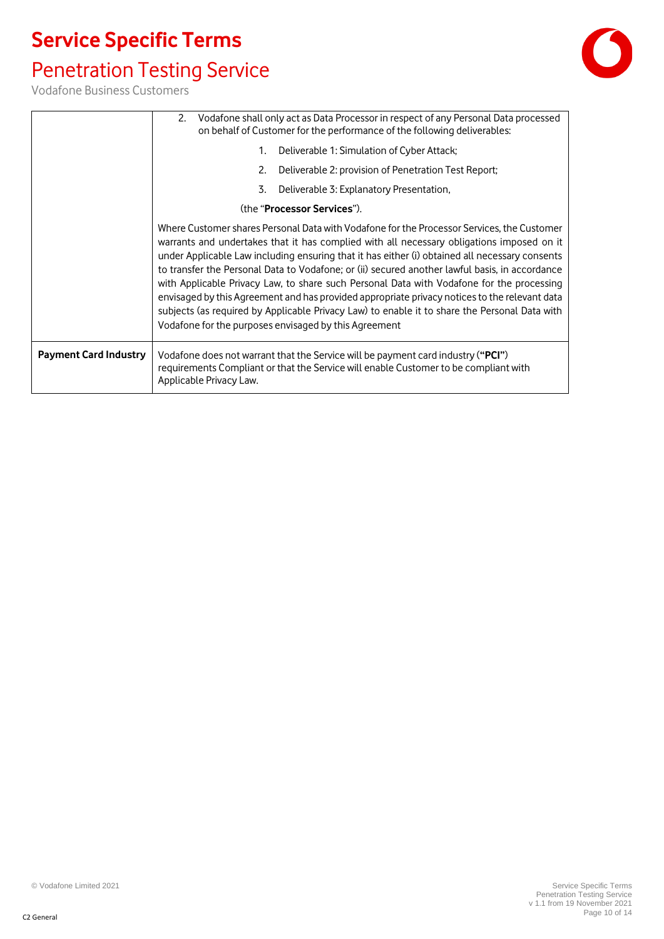### Penetration Testing Service



|                              | 2. Vodafone shall only act as Data Processor in respect of any Personal Data processed<br>on behalf of Customer for the performance of the following deliverables:                                                                                                                                                                                                                                                                                                                                                                                                                                                                                                                                                                                  |  |
|------------------------------|-----------------------------------------------------------------------------------------------------------------------------------------------------------------------------------------------------------------------------------------------------------------------------------------------------------------------------------------------------------------------------------------------------------------------------------------------------------------------------------------------------------------------------------------------------------------------------------------------------------------------------------------------------------------------------------------------------------------------------------------------------|--|
|                              | Deliverable 1: Simulation of Cyber Attack;<br>1.                                                                                                                                                                                                                                                                                                                                                                                                                                                                                                                                                                                                                                                                                                    |  |
|                              | Deliverable 2: provision of Penetration Test Report;<br>2.                                                                                                                                                                                                                                                                                                                                                                                                                                                                                                                                                                                                                                                                                          |  |
|                              | Deliverable 3: Explanatory Presentation,<br>3.                                                                                                                                                                                                                                                                                                                                                                                                                                                                                                                                                                                                                                                                                                      |  |
|                              | (the " <b>Processor Services</b> ").                                                                                                                                                                                                                                                                                                                                                                                                                                                                                                                                                                                                                                                                                                                |  |
|                              | Where Customer shares Personal Data with Vodafone for the Processor Services, the Customer<br>warrants and undertakes that it has complied with all necessary obligations imposed on it<br>under Applicable Law including ensuring that it has either (i) obtained all necessary consents<br>to transfer the Personal Data to Vodafone; or (ii) secured another lawful basis, in accordance<br>with Applicable Privacy Law, to share such Personal Data with Vodafone for the processing<br>envisaged by this Agreement and has provided appropriate privacy notices to the relevant data<br>subjects (as required by Applicable Privacy Law) to enable it to share the Personal Data with<br>Vodafone for the purposes envisaged by this Agreement |  |
| <b>Payment Card Industry</b> | Vodafone does not warrant that the Service will be payment card industry ("PCI")<br>requirements Compliant or that the Service will enable Customer to be compliant with<br>Applicable Privacy Law.                                                                                                                                                                                                                                                                                                                                                                                                                                                                                                                                                 |  |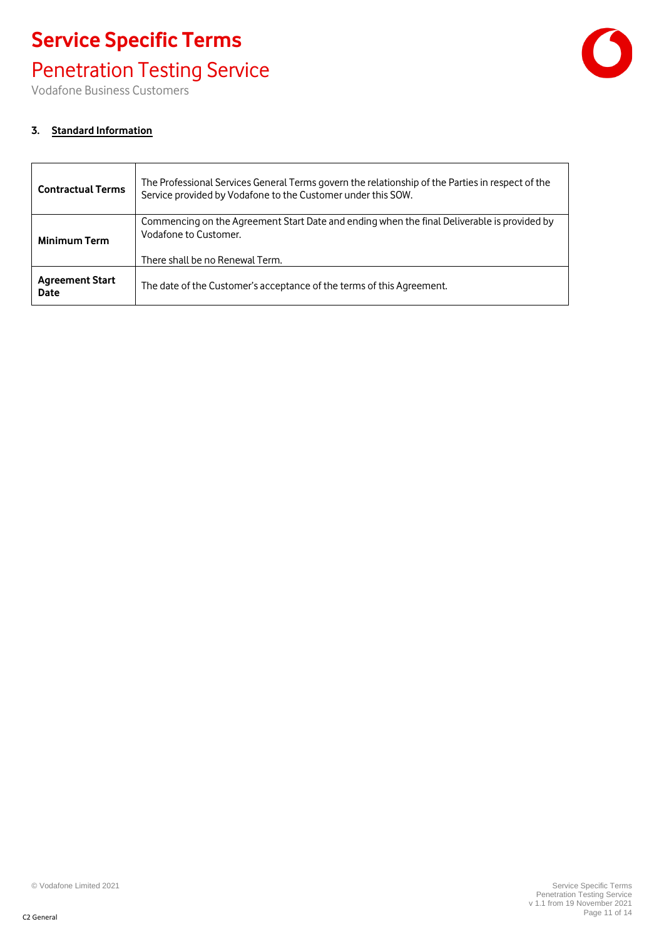### Penetration Testing Service

Vodafone Business Customers

#### **3. Standard Information**

| <b>Contractual Terms</b>       | The Professional Services General Terms govern the relationship of the Parties in respect of the<br>Service provided by Vodafone to the Customer under this SOW. |
|--------------------------------|------------------------------------------------------------------------------------------------------------------------------------------------------------------|
| <b>Minimum Term</b>            | Commencing on the Agreement Start Date and ending when the final Deliverable is provided by<br>Vodafone to Customer.                                             |
|                                | There shall be no Renewal Term.                                                                                                                                  |
| <b>Agreement Start</b><br>Date | The date of the Customer's acceptance of the terms of this Agreement.                                                                                            |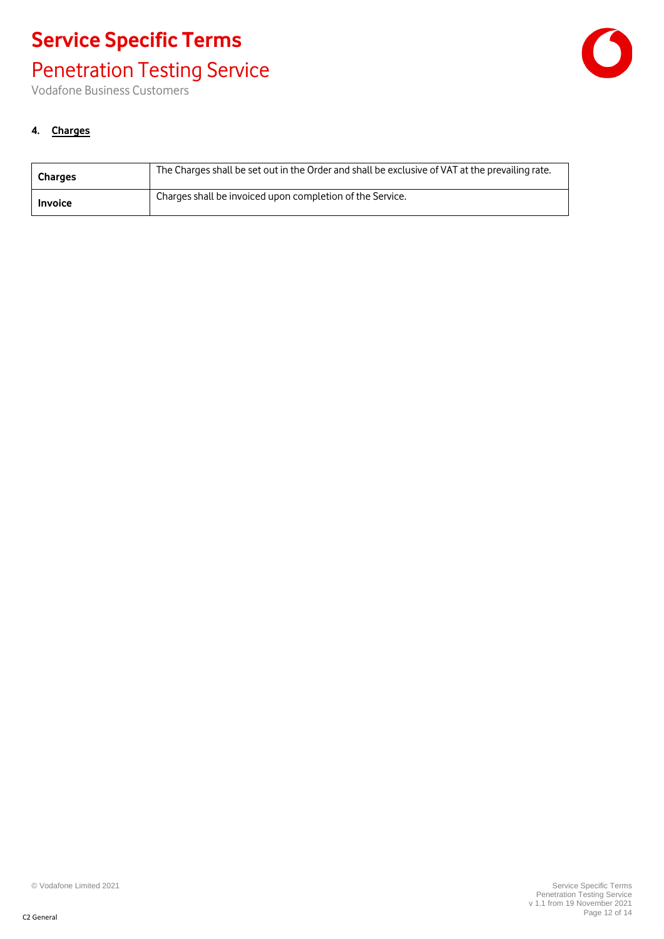### Penetration Testing Service

Vodafone Business Customers



#### **4. Charges**

| Charges        | The Charges shall be set out in the Order and shall be exclusive of VAT at the prevailing rate. |
|----------------|-------------------------------------------------------------------------------------------------|
| <b>Invoice</b> | Charges shall be invoiced upon completion of the Service.                                       |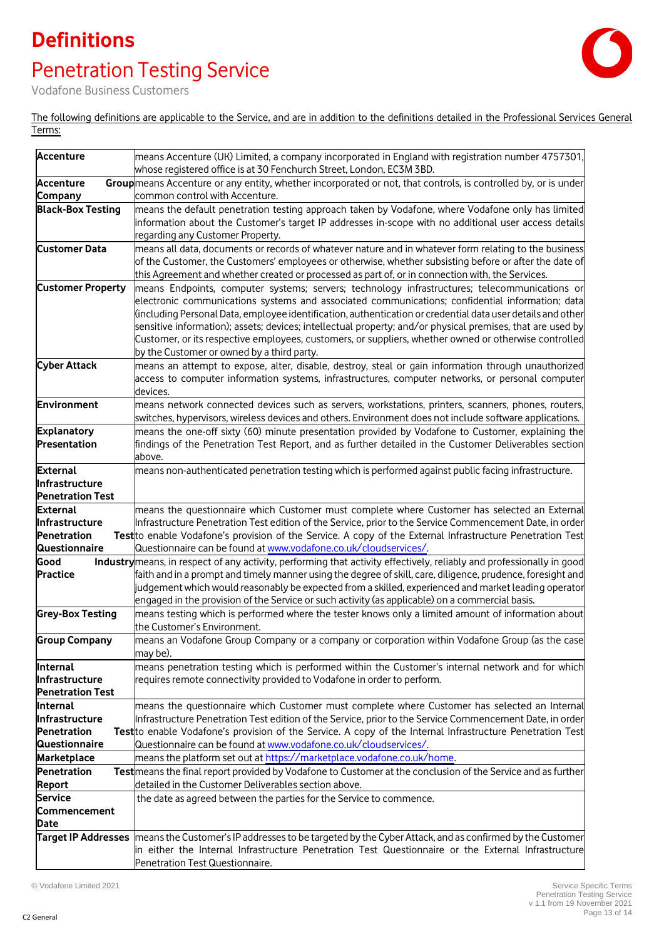### **Definitions**

## Penetration Testing Service



Vodafone Business Customers

The following definitions are applicable to the Service, and are in addition to the definitions detailed in the Professional Services General Terms:

| <b>Accenture</b>                    | means Accenture (UK) Limited, a company incorporated in England with registration number 4757301,<br>whose registered office is at 30 Fenchurch Street, London, EC3M 3BD.              |
|-------------------------------------|----------------------------------------------------------------------------------------------------------------------------------------------------------------------------------------|
| <b>Accenture</b>                    | Group means Accenture or any entity, whether incorporated or not, that controls, is controlled by, or is under                                                                         |
| Company                             | common control with Accenture.                                                                                                                                                         |
| <b>Black-Box Testing</b>            | means the default penetration testing approach taken by Vodafone, where Vodafone only has limited                                                                                      |
|                                     | information about the Customer's target IP addresses in-scope with no additional user access details                                                                                   |
|                                     | regarding any Customer Property.                                                                                                                                                       |
| <b>Customer Data</b>                | means all data, documents or records of whatever nature and in whatever form relating to the business                                                                                  |
|                                     | of the Customer, the Customers' employees or otherwise, whether subsisting before or after the date of                                                                                 |
|                                     | this Agreement and whether created or processed as part of, or in connection with, the Services.                                                                                       |
| <b>Customer Property</b>            | means Endpoints, computer systems; servers; technology infrastructures; telecommunications or                                                                                          |
|                                     | electronic communications systems and associated communications; confidential information; data                                                                                        |
|                                     | (including Personal Data, employee identification, authentication or credential data user details and other                                                                            |
|                                     | sensitive information); assets; devices; intellectual property; and/or physical premises, that are used by                                                                             |
|                                     | Customer, or its respective employees, customers, or suppliers, whether owned or otherwise controlled                                                                                  |
|                                     | by the Customer or owned by a third party.                                                                                                                                             |
| <b>Cyber Attack</b>                 | means an attempt to expose, alter, disable, destroy, steal or gain information through unauthorized                                                                                    |
|                                     | access to computer information systems, infrastructures, computer networks, or personal computer                                                                                       |
|                                     | devices.                                                                                                                                                                               |
| Environment                         | means network connected devices such as servers, workstations, printers, scanners, phones, routers,                                                                                    |
|                                     | switches, hypervisors, wireless devices and others. Environment does not include software applications.                                                                                |
| <b>Explanatory</b>                  | means the one-off sixty (60) minute presentation provided by Vodafone to Customer, explaining the                                                                                      |
| Presentation                        | findings of the Penetration Test Report, and as further detailed in the Customer Deliverables section                                                                                  |
|                                     | above.                                                                                                                                                                                 |
| <b>External</b><br>Infrastructure   | means non-authenticated penetration testing which is performed against public facing infrastructure.                                                                                   |
| <b>Penetration Test</b>             |                                                                                                                                                                                        |
| <b>External</b>                     | means the questionnaire which Customer must complete where Customer has selected an External                                                                                           |
| Infrastructure                      | Infrastructure Penetration Test edition of the Service, prior to the Service Commencement Date, in order                                                                               |
| Penetration                         | Test to enable Vodafone's provision of the Service. A copy of the External Infrastructure Penetration Test                                                                             |
| <b>Questionnaire</b>                | Questionnaire can be found at www.vodafone.co.uk/cloudservices/.                                                                                                                       |
| Good                                | Industry means, in respect of any activity, performing that activity effectively, reliably and professionally in good                                                                  |
| <b>Practice</b>                     | faith and in a prompt and timely manner using the degree of skill, care, diligence, prudence, foresight and                                                                            |
|                                     | judgement which would reasonably be expected from a skilled, experienced and market leading operator                                                                                   |
|                                     | engaged in the provision of the Service or such activity (as applicable) on a commercial basis.                                                                                        |
| <b>Grey-Box Testing</b>             | means testing which is performed where the tester knows only a limited amount of information about                                                                                     |
|                                     | the Customer's Environment.                                                                                                                                                            |
| <b>Group Company</b>                | means an Vodafone Group Company or a company or corporation within Vodafone Group (as the case                                                                                         |
|                                     | may be).                                                                                                                                                                               |
| Internal                            | means penetration testing which is performed within the Customer's internal network and for which                                                                                      |
| Infrastructure                      | requires remote connectivity provided to Vodafone in order to perform.                                                                                                                 |
| <b>Penetration Test</b>             |                                                                                                                                                                                        |
| <b>Internal</b>                     | means the questionnaire which Customer must complete where Customer has selected an Internal                                                                                           |
| llnfrastructure                     | Infrastructure Penetration Test edition of the Service, prior to the Service Commencement Date, in order                                                                               |
| Penetration                         | Test to enable Vodafone's provision of the Service. A copy of the Internal Infrastructure Penetration Test                                                                             |
| <b>Questionnaire</b><br>Marketplace | Questionnaire can be found at www.vodafone.co.uk/cloudservices/.                                                                                                                       |
| Penetration                         | means the platform set out at https://marketplace.vodafone.co.uk/home.<br>Test means the final report provided by Vodafone to Customer at the conclusion of the Service and as further |
| Report                              | detailed in the Customer Deliverables section above.                                                                                                                                   |
| <b>Service</b>                      | the date as agreed between the parties for the Service to commence.                                                                                                                    |
| Commencement                        |                                                                                                                                                                                        |
| <b>Date</b>                         |                                                                                                                                                                                        |
|                                     | Target IP Addresses means the Customer's IP addresses to be targeted by the Cyber Attack, and as confirmed by the Customer                                                             |
|                                     | in either the Internal Infrastructure Penetration Test Questionnaire or the External Infrastructure                                                                                    |
|                                     | Penetration Test Questionnaire.                                                                                                                                                        |